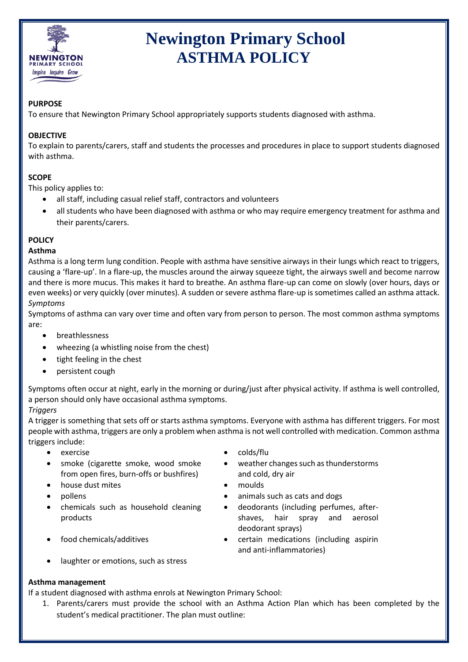

# **Newington Primary School ASTHMA POLICY**

### **PURPOSE**

To ensure that Newington Primary School appropriately supports students diagnosed with asthma.

## **OBJECTIVE**

To explain to parents/carers, staff and students the processes and procedures in place to support students diagnosed with asthma.

## **SCOPE**

This policy applies to:

- all staff, including casual relief staff, contractors and volunteers
- all students who have been diagnosed with asthma or who may require emergency treatment for asthma and their parents/carers.

## **POLICY**

#### **Asthma**

Asthma is a long term lung condition. People with asthma have sensitive airways in their lungs which react to triggers, causing a 'flare-up'. In a flare-up, the muscles around the airway squeeze tight, the airways swell and become narrow and there is more mucus. This makes it hard to breathe. An asthma flare-up can come on slowly (over hours, days or even weeks) or very quickly (over minutes). A sudden or severe asthma flare-up is sometimes called an asthma attack. *Symptoms*

Symptoms of asthma can vary over time and often vary from person to person. The most common asthma symptoms are:

- breathlessness
- wheezing (a whistling noise from the chest)
- tight feeling in the chest
- persistent cough

Symptoms often occur at night, early in the morning or during/just after physical activity. If asthma is well controlled, a person should only have occasional asthma symptoms.

## *Triggers*

A trigger is something that sets off or starts asthma symptoms. Everyone with asthma has different triggers. For most people with asthma, triggers are only a problem when asthma is not well controlled with medication. Common asthma triggers include:

- 
- smoke (cigarette smoke, wood smoke from open fires, burn-offs or bushfires)
- house dust mites **and the set of the set of the set of the set of the set of the set of the set of the set of the set of the set of the set of the set of the set of the set of the set of the set of the set of the set of th**
- 
- chemicals such as household cleaning products
- 
- laughter or emotions, such as stress

## **Asthma management**

If a student diagnosed with asthma enrols at Newington Primary School:

1. Parents/carers must provide the school with an Asthma Action Plan which has been completed by the student's medical practitioner. The plan must outline:

- exercise colds/flu
	- weather changes such as thunderstorms and cold, dry air
	-
	- pollens **but a contract as a contract as contract of the contract of the contract of the contract of the contract of the contract of the contract of the contract of the contract of the contract of the contract of the contr** 
		- deodorants (including perfumes, aftershaves, hair spray and aerosol deodorant sprays)
	- food chemicals/additives **CELC COVERTS** certain medications (including aspirin and anti-inflammatories)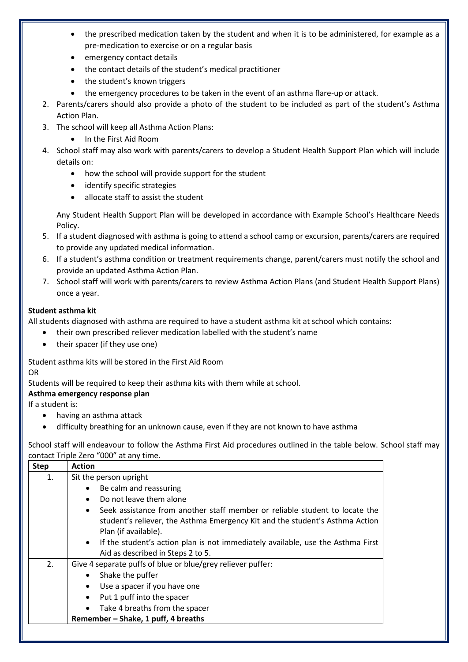- the prescribed medication taken by the student and when it is to be administered, for example as a pre-medication to exercise or on a regular basis
- emergency contact details
- the contact details of the student's medical practitioner
- the student's known triggers
- the emergency procedures to be taken in the event of an asthma flare-up or attack.
- 2. Parents/carers should also provide a photo of the student to be included as part of the student's Asthma Action Plan.
- 3. The school will keep all Asthma Action Plans:
	- In the First Aid Room
- 4. School staff may also work with parents/carers to develop a Student Health Support Plan which will include details on:
	- how the school will provide support for the student
	- identify specific strategies
	- allocate staff to assist the student

Any Student Health Support Plan will be developed in accordance with Example School's Healthcare Needs Policy.

- 5. If a student diagnosed with asthma is going to attend a school camp or excursion, parents/carers are required to provide any updated medical information.
- 6. If a student's asthma condition or treatment requirements change, parent/carers must notify the school and provide an updated Asthma Action Plan.
- 7. School staff will work with parents/carers to review Asthma Action Plans (and Student Health Support Plans) once a year.

### **Student asthma kit**

All students diagnosed with asthma are required to have a student asthma kit at school which contains:

- their own prescribed reliever medication labelled with the student's name
- their spacer (if they use one)

Student asthma kits will be stored in the First Aid Room

OR

Students will be required to keep their asthma kits with them while at school.

#### **Asthma emergency response plan**

If a student is:

- having an asthma attack
- difficulty breathing for an unknown cause, even if they are not known to have asthma

School staff will endeavour to follow the Asthma First Aid procedures outlined in the table below. School staff may contact Triple Zero "000" at any time.

| <b>Step</b>           | <b>Action</b>                                                                                                                                                                                    |  |  |  |  |  |
|-----------------------|--------------------------------------------------------------------------------------------------------------------------------------------------------------------------------------------------|--|--|--|--|--|
| 1.                    | Sit the person upright                                                                                                                                                                           |  |  |  |  |  |
|                       | Be calm and reassuring<br>$\bullet$                                                                                                                                                              |  |  |  |  |  |
|                       | Do not leave them alone<br>$\bullet$                                                                                                                                                             |  |  |  |  |  |
|                       | Seek assistance from another staff member or reliable student to locate the<br>$\bullet$<br>student's reliever, the Asthma Emergency Kit and the student's Asthma Action<br>Plan (if available). |  |  |  |  |  |
|                       | If the student's action plan is not immediately available, use the Asthma First<br>$\bullet$                                                                                                     |  |  |  |  |  |
|                       | Aid as described in Steps 2 to 5.                                                                                                                                                                |  |  |  |  |  |
| 2.                    | Give 4 separate puffs of blue or blue/grey reliever puffer:                                                                                                                                      |  |  |  |  |  |
| Shake the puffer<br>٠ |                                                                                                                                                                                                  |  |  |  |  |  |
|                       | Use a spacer if you have one<br>$\bullet$                                                                                                                                                        |  |  |  |  |  |
|                       | Put 1 puff into the spacer<br>$\bullet$                                                                                                                                                          |  |  |  |  |  |
|                       | Take 4 breaths from the spacer<br>$\bullet$                                                                                                                                                      |  |  |  |  |  |
|                       | Remember - Shake, 1 puff, 4 breaths                                                                                                                                                              |  |  |  |  |  |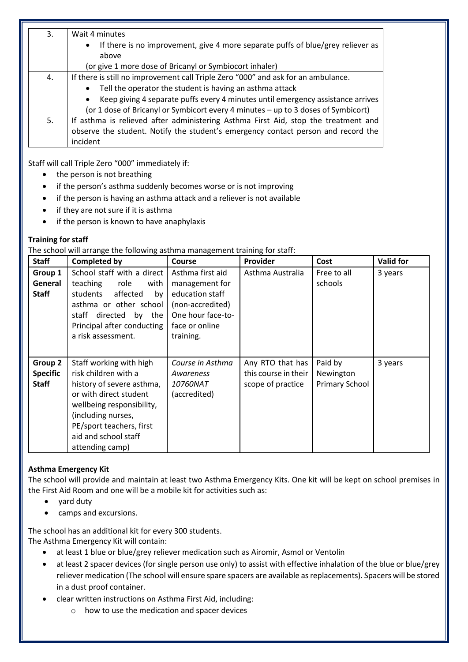| 3. | Wait 4 minutes                                                                                        |  |  |  |  |  |
|----|-------------------------------------------------------------------------------------------------------|--|--|--|--|--|
|    | If there is no improvement, give 4 more separate puffs of blue/grey reliever as<br>$\bullet$<br>above |  |  |  |  |  |
|    | (or give 1 more dose of Bricanyl or Symbiocort inhaler)                                               |  |  |  |  |  |
| 4. | If there is still no improvement call Triple Zero "000" and ask for an ambulance.                     |  |  |  |  |  |
|    | Tell the operator the student is having an asthma attack<br>$\bullet$                                 |  |  |  |  |  |
|    | Keep giving 4 separate puffs every 4 minutes until emergency assistance arrives                       |  |  |  |  |  |
|    | (or 1 dose of Bricanyl or Symbicort every 4 minutes - up to 3 doses of Symbicort)                     |  |  |  |  |  |
| 5. | If asthma is relieved after administering Asthma First Aid, stop the treatment and                    |  |  |  |  |  |
|    | observe the student. Notify the student's emergency contact person and record the                     |  |  |  |  |  |
|    | incident                                                                                              |  |  |  |  |  |

Staff will call Triple Zero "000" immediately if:

- the person is not breathing
- if the person's asthma suddenly becomes worse or is not improving
- if the person is having an asthma attack and a reliever is not available
- if they are not sure if it is asthma
- if the person is known to have anaphylaxis

#### **Training for staff**

The school will arrange the following asthma management training for staff:

| <b>Staff</b>                               | <b>Completed by</b>                                                                                                                                                                                                              | <b>Course</b>                                                                                                                 | Provider                                                      | Cost                                          | <b>Valid for</b> |
|--------------------------------------------|----------------------------------------------------------------------------------------------------------------------------------------------------------------------------------------------------------------------------------|-------------------------------------------------------------------------------------------------------------------------------|---------------------------------------------------------------|-----------------------------------------------|------------------|
| Group 1<br>General<br><b>Staff</b>         | School staff with a direct<br>teaching<br>role<br>with<br>students<br>affected<br>by<br>asthma or other school<br>staff<br>directed<br>by the<br>Principal after conducting<br>a risk assessment.                                | Asthma first aid<br>management for<br>education staff<br>(non-accredited)<br>One hour face-to-<br>face or online<br>training. | Asthma Australia                                              | Free to all<br>schools                        | 3 years          |
| Group 2<br><b>Specific</b><br><b>Staff</b> | Staff working with high<br>risk children with a<br>history of severe asthma,<br>or with direct student<br>wellbeing responsibility,<br>(including nurses,<br>PE/sport teachers, first<br>aid and school staff<br>attending camp) | Course in Asthma<br>Awareness<br><i>10760NAT</i><br>(accredited)                                                              | Any RTO that has<br>this course in their<br>scope of practice | Paid by<br>Newington<br><b>Primary School</b> | 3 years          |

## **Asthma Emergency Kit**

The school will provide and maintain at least two Asthma Emergency Kits. One kit will be kept on school premises in the First Aid Room and one will be a mobile kit for activities such as:

- yard duty
- camps and excursions.

The school has an additional kit for every 300 students. The Asthma Emergency Kit will contain:

- at least 1 blue or blue/grey reliever medication such as Airomir, Asmol or Ventolin
- at least 2 spacer devices (for single person use only) to assist with effective inhalation of the blue or blue/grey reliever medication (The school will ensure spare spacers are available as replacements). Spacers will be stored in a dust proof container.
- clear written instructions on Asthma First Aid, including:
	- o how to use the medication and spacer devices